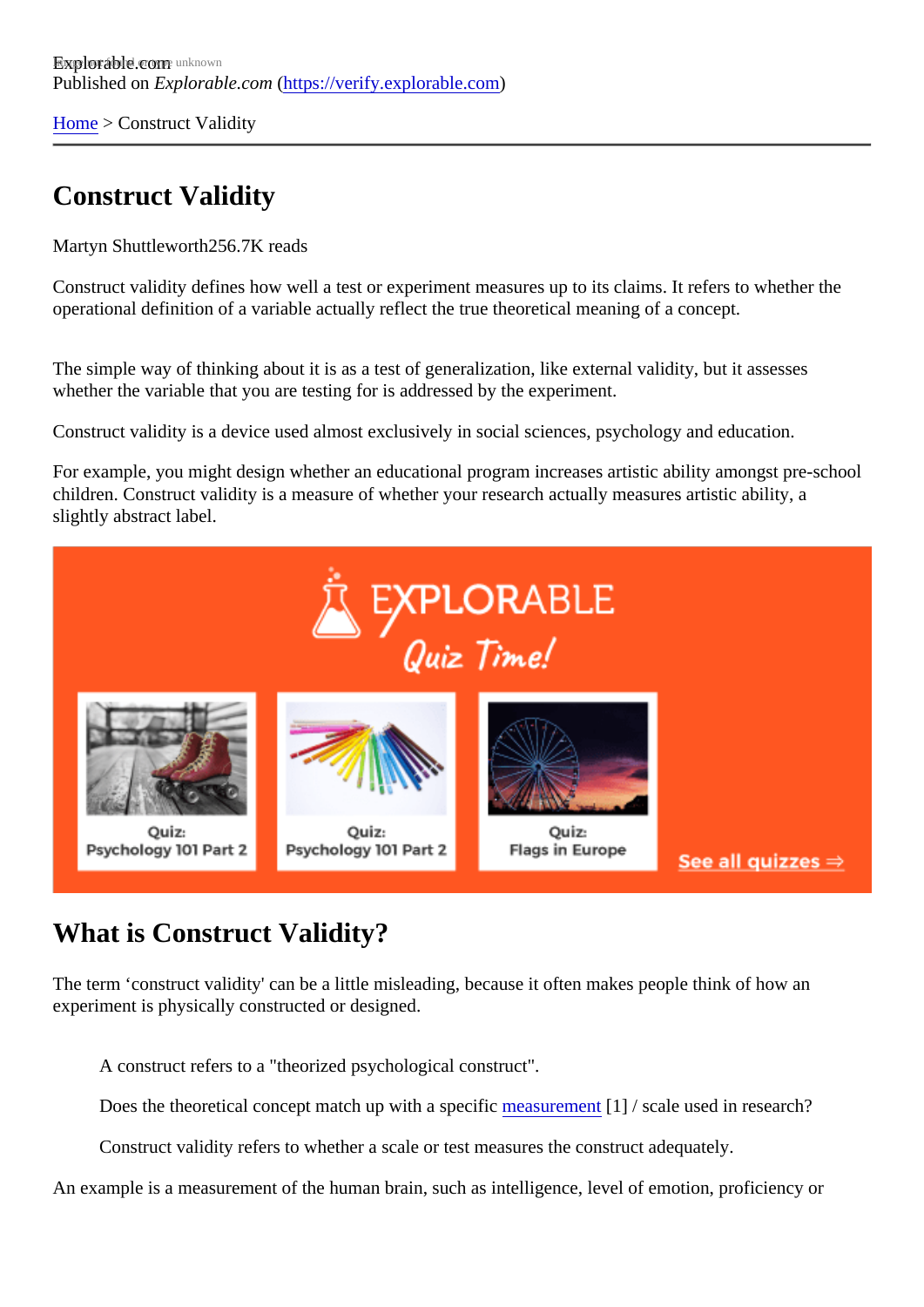[Home](https://verify.explorable.com/)> Construct Validity

# Construct Validity

Martyn Shuttlewort<sup>h</sup>256.7K reads

Construct validity defines how well a test or experiment measures up to its claims. It refers to whether the operational definition of a variable actually reflect the true theoretical meaning of a concept.

The simple way of thinking about it is as a test of generalization, like external validity, but it assesses whether the variable that you are testing for is addressed by the experiment.

Construct validity is a device used almost exclusively in social sciences, psychology and education.

For example, you might design whether an educational program increases artistic ability amongst pre-scholol children. Construct validity is a measure of whether your research actually measures artistic ability, a slightly abstract label.

### What is Construct Validity?

The term 'construct validity' can be a little misleading, because it often makes people think of how an experiment is physically constructed or designed.

A construct refers to a "theorized psychological construct".

Does the theoretical concept match up with a specific surement [1] / scale used in research?

Construct validity refers to whether a scale or test measures the construct adequately.

An example is a measurement of the human brain, such as intelligence, level of emotion, proficiency or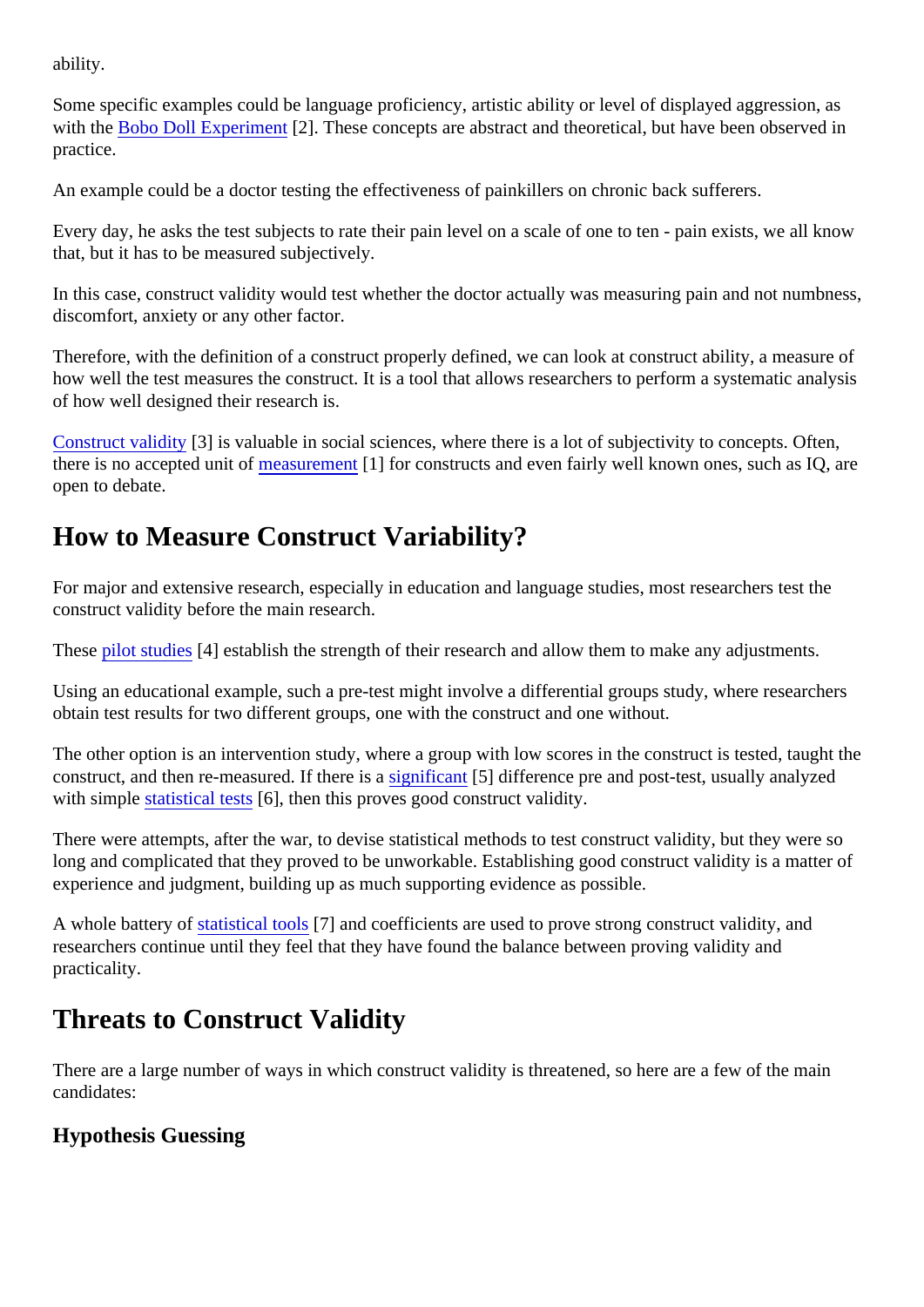ability.

Some specific examples could be language proficiency, artistic ability or level of displayed aggression, as with the [Bobo Doll Experimen](https://verify.explorable.com/bobo-doll-experiment)t2]. These concepts are abstract and theoretical, but have been observed in practice.

An example could be a doctor testing the effectiveness of painkillers on chronic back sufferers.

Every day, he asks the test subjects to rate their pain level on a scale of one to ten - pain exists, we all know that, but it has to be measured subjectively.

In this case, construct validity would test whether the doctor actually was measuring pain and not numbne discomfort, anxiety or any other factor.

Therefore, with the definition of a construct properly defined, we can look at construct ability, a measure of how well the test measures the construct. It is a tool that allows researchers to perform a systematic analy of how well designed their research is.

[Construct validity](http://www.socialresearchmethods.net/kb/constval.php) [3] is valuable in social sciences, where there is a lot of subjectivity to concepts. Often, there is no accepted unit *rofeasurement* [1] for constructs and even fairly well known ones, such as IQ, are open to debate.

# How to Measure Construct Variability?

For major and extensive research, especially in education and language studies, most researchers test the construct validity before the main research.

Thes[e pilot studies](https://verify.explorable.com/pilot-study) [4] establish the strength of their research and allow them to make any adjustments.

Using an educational example, such a pre-test might involve a differential groups study, where researcher obtain test results for two different groups, one with the construct and one without.

The other option is an intervention study, where a group with low scores in the construct is tested, taught t construct, and then re-measured. If ther[e is a significant](https://verify.explorable.com/significance-test) [5] difference pre and post-test, usually analyzed with simpl[e statistical test](https://verify.explorable.com/significance-test-2)<sup>[6]</sup>, then this proves good construct validity.

There were attempts, after the war, to devise statistical methods to test construct validity, but they were so long and complicated that they proved to be unworkable. Establishing good construct validity is a matter of experience and judgment, building up as much supporting evidence as possible.

A whole battery o[f statistical tool](https://verify.explorable.com/statistics-tutorial)s[7] and coefficients are used to prove strong construct validity, and researchers continue until they feel that they have found the balance between proving validity and practicality.

# Threats to Construct Validity

There are a large number of ways in which construct validity is threatened, so here are a few of the main candidates:

Hypothesis Guessing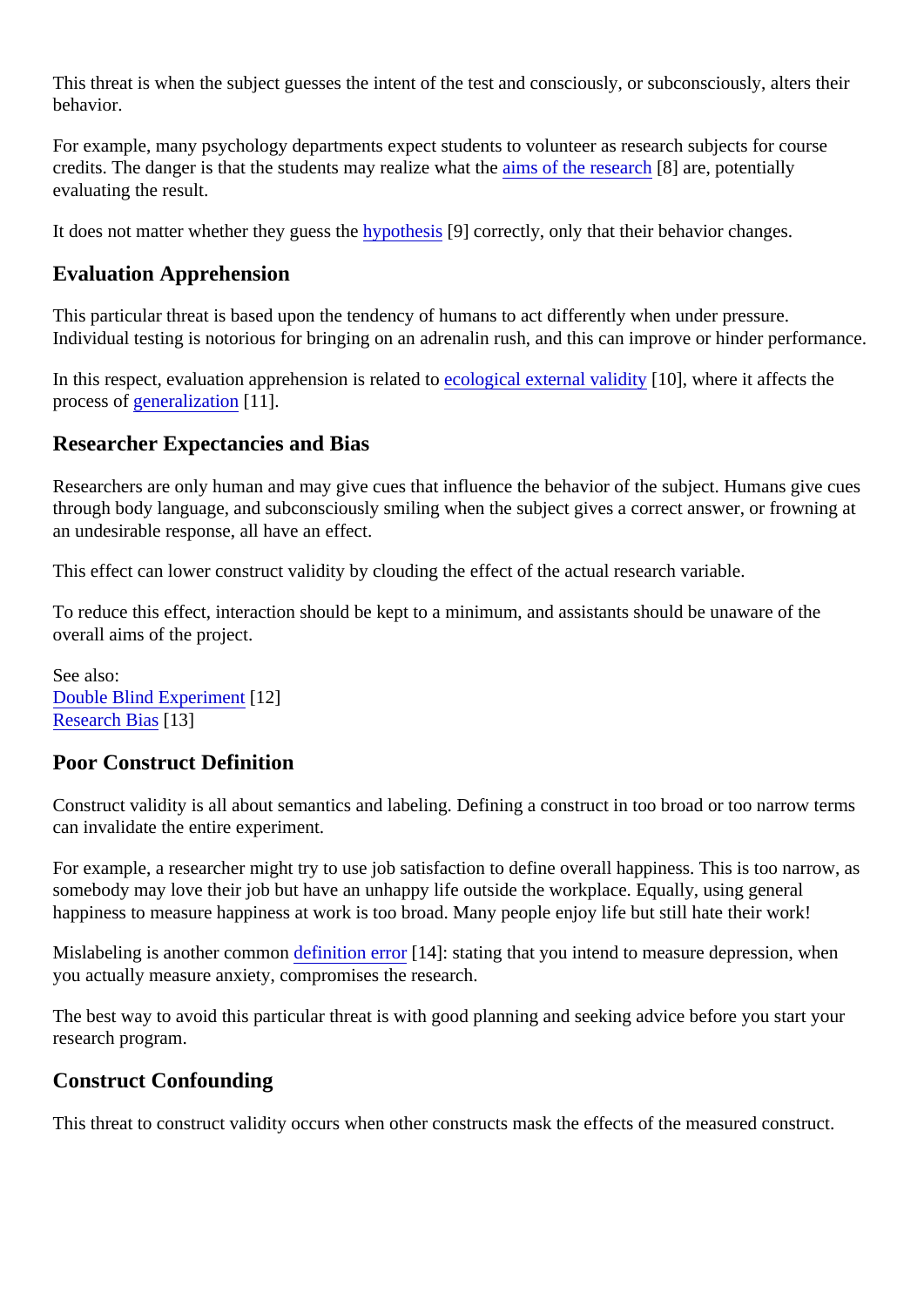This threat is when the subject guesses the intent of the test and consciously, or subconsciously, alters the behavior.

For example, many psychology departments expect students to volunteer as research subjects for course credits. The danger is that the students may realize what the research are, potentially evaluating the result.

It does not matter whether they guess the pothesis<sup>[9]</sup> correctly, only that their behavior changes.

#### Evaluation Apprehension

This particular threat is based upon the tendency of humans to act differently when under pressure. Individual testing is notorious for bringing on an adrenalin rush, and this can improve or hinder performance.

In this respect, evaluation apprehension is related to gical external validit $[10]$ , where it affects the process of eneralization 11].

#### Researcher Expectancies and Bias

Researchers are only human and may give cues that influence the behavior of the subject. Humans give of through body language, and subconsciously smiling when the subject gives a correct answer, or frowning an undesirable response, all have an effect.

This effect can lower construct validity by clouding the effect of the actual research variable.

To reduce this effect, interaction should be kept to a minimum, and assistants should be unaware of the overall aims of the project.

See also: [Double Blind Experimen](https://verify.explorable.com/double-blind-experiment)t12] [Research Bia](https://verify.explorable.com/research-bias)s 3]

#### Poor Construct Definition

Construct validity is all about semantics and labeling. Defining a construct in too broad or too narrow terms can invalidate the entire experiment.

For example, a researcher might try to use job satisfaction to define overall happiness. This is too narrow, somebody may love their job but have an unhappy life outside the workplace. Equally, using general happiness to measure happiness at work is too broad. Many people enjoy life but still hate their work!

Mislabeling is another commote finition error<sup>[14]</sup>: stating that you intend to measure depression, when you actually measure anxiety, compromises the research.

The best way to avoid this particular threat is with good planning and seeking advice before you start your research program.

#### Construct Confounding

This threat to construct validity occurs when other constructs mask the effects of the measured construct.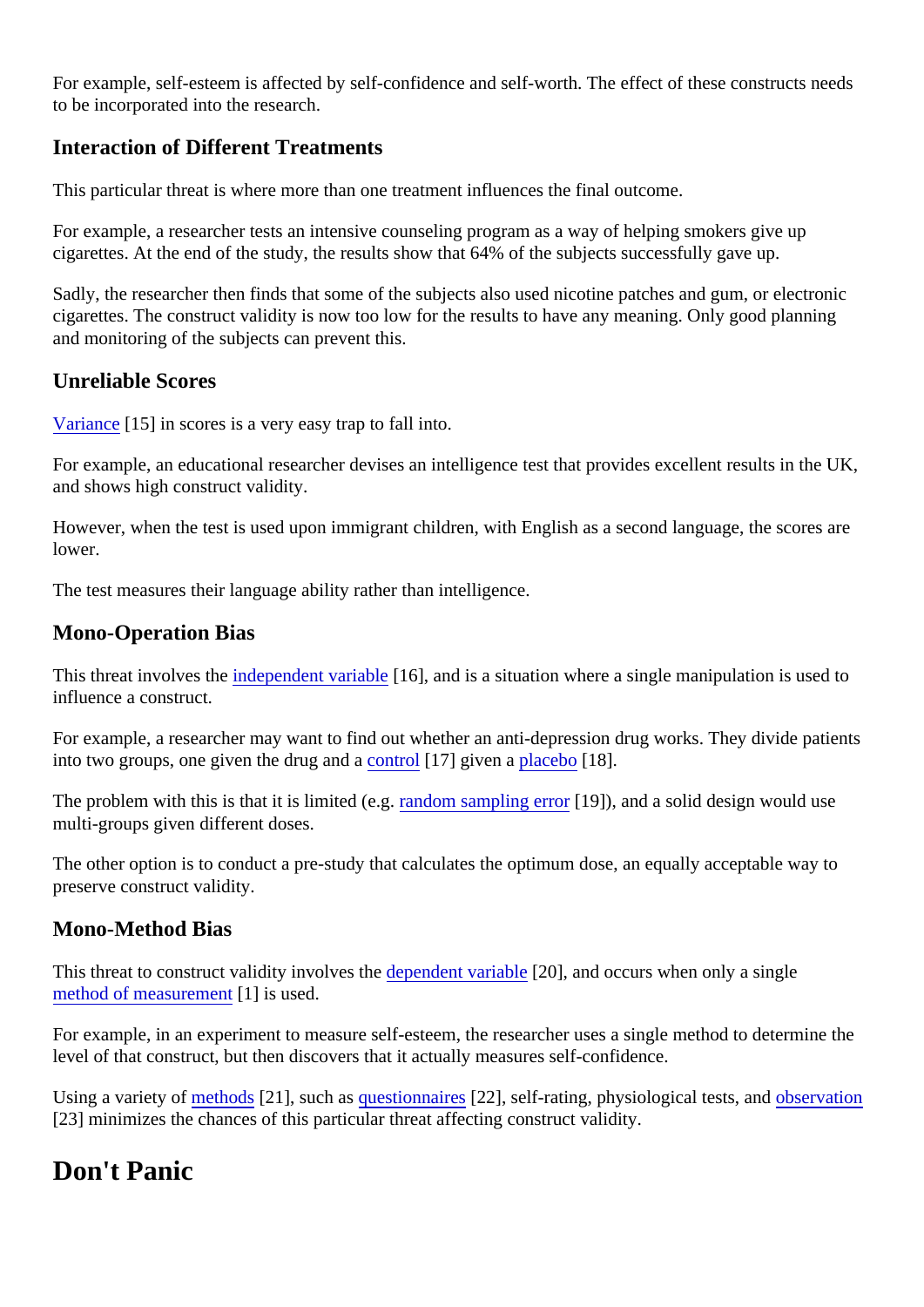For example, self-esteem is affected by self-confidence and self-worth. The effect of these constructs need to be incorporated into the research.

### Interaction of Different Treatments

This particular threat is where more than one treatment influences the final outcome.

For example, a researcher tests an intensive counseling program as a way of helping smokers give up cigarettes. At the end of the study, the results show that 64% of the subjects successfully gave up.

Sadly, the researcher then finds that some of the subjects also used nicotine patches and gum, or electron cigarettes. The construct validity is now too low for the results to have any meaning. Only good planning and monitoring of the subjects can prevent this.

#### Unreliable Scores

[Variance](https://verify.explorable.com/statistical-variance)<sup>[15]</sup> in scores is a very easy trap to fall into.

For example, an educational researcher devises an intelligence test that provides excellent results in the U and shows high construct validity.

However, when the test is used upon immigrant children, with English as a second language, the scores are lower.

The test measures their language ability rather than intelligence.

### Mono-Operation Bias

This threat involves the dependent variable 6], and is a situation where a single manipulation is used to influence a construct.

For example, a researcher may want to find out whether an anti-depression drug works. They divide patients into two groups, one given the drug ancolatrol<sup>[17]</sup> given [a placebo](https://verify.explorable.com/placebo-effect)t<sup>[18]</sup>.

The problem with this is that it is limited (ergndom sampling erron[19]), and a solid design would use multi-groups given different doses.

The other option is to conduct a pre-study that calculates the optimum dose, an equally acceptable way to preserve construct validity.

#### Mono-Method Bias

This threat to construct validity involves the pendent variable 20], and occurs when only a single [method of measureme](https://verify.explorable.com/scientific-measurements)nt is used.

For example, in an experiment to measure self-esteem, the researcher uses a single method to determine level of that construct, but then discovers that it actually measures self-confidence.

Using a variety [of methods](https://verify.explorable.com/research-designs) [21], such a[s questionnaire](https://verify.explorable.com/survey-research-design) [22], self-rating, physiological tests, and servation [23] minimizes the chances of this particular threat affecting construct validity.

### Don't Panic